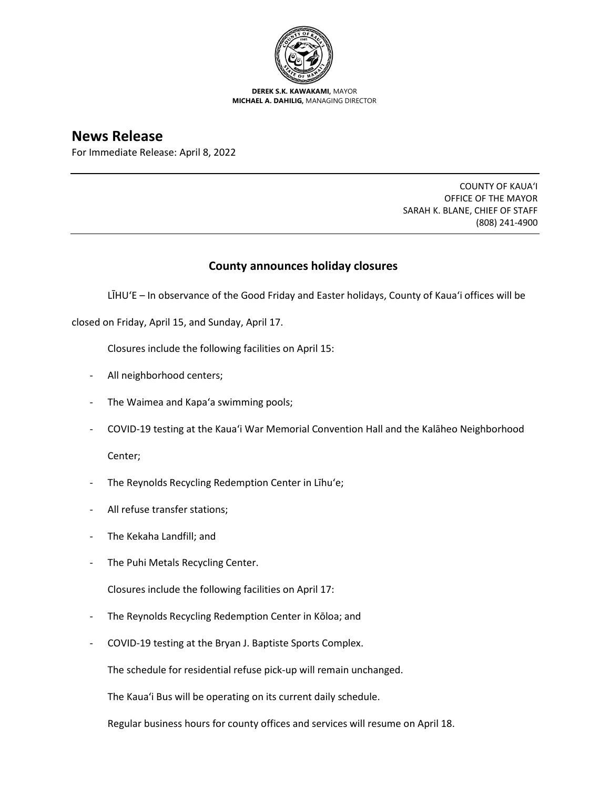

**DEREK S.K. KAWAKAMI,** MAYOR **MICHAEL A. DAHILIG,** MANAGING DIRECTOR

**News Release**

For Immediate Release: April 8, 2022

COUNTY OF KAUA'I OFFICE OF THE MAYOR SARAH K. BLANE, CHIEF OF STAFF (808) 241-4900

## **County announces holiday closures**

LĪHU'E – In observance of the Good Friday and Easter holidays, County of Kaua'i offices will be

closed on Friday, April 15, and Sunday, April 17.

Closures include the following facilities on April 15:

- All neighborhood centers;
- The Waimea and Kapa'a swimming pools;
- COVID-19 testing at the Kaua'i War Memorial Convention Hall and the Kalāheo Neighborhood

Center;

- The Reynolds Recycling Redemption Center in Līhu'e;
- All refuse transfer stations;
- The Kekaha Landfill; and
- The Puhi Metals Recycling Center.

Closures include the following facilities on April 17:

- The Reynolds Recycling Redemption Center in Kōloa; and
- COVID-19 testing at the Bryan J. Baptiste Sports Complex.

The schedule for residential refuse pick-up will remain unchanged.

The Kaua'i Bus will be operating on its current daily schedule.

Regular business hours for county offices and services will resume on April 18.